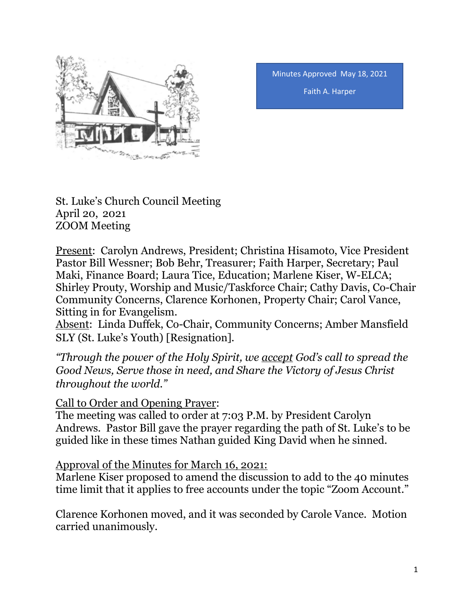

Minutes Approved May 18, 2021 Faith A. Harper

St. Luke's Church Council Meeting April 20, 2021 ZOOM Meeting

Present: Carolyn Andrews, President; Christina Hisamoto, Vice President Pastor Bill Wessner; Bob Behr, Treasurer; Faith Harper, Secretary; Paul Maki, Finance Board; Laura Tice, Education; Marlene Kiser, W-ELCA; Shirley Prouty, Worship and Music/Taskforce Chair; Cathy Davis, Co-Chair Community Concerns, Clarence Korhonen, Property Chair; Carol Vance, Sitting in for Evangelism.

Absent: Linda Duffek, Co-Chair, Community Concerns; Amber Mansfield SLY (St. Luke's Youth) [Resignation].

*"Through the power of the Holy Spirit, we accept God's call to spread the Good News, Serve those in need, and Share the Victory of Jesus Christ throughout the world."*

Call to Order and Opening Prayer:

The meeting was called to order at 7:03 P.M. by President Carolyn Andrews. Pastor Bill gave the prayer regarding the path of St. Luke's to be guided like in these times Nathan guided King David when he sinned.

Approval of the Minutes for March 16, 2021:

Marlene Kiser proposed to amend the discussion to add to the 40 minutes time limit that it applies to free accounts under the topic "Zoom Account."

Clarence Korhonen moved, and it was seconded by Carole Vance. Motion carried unanimously.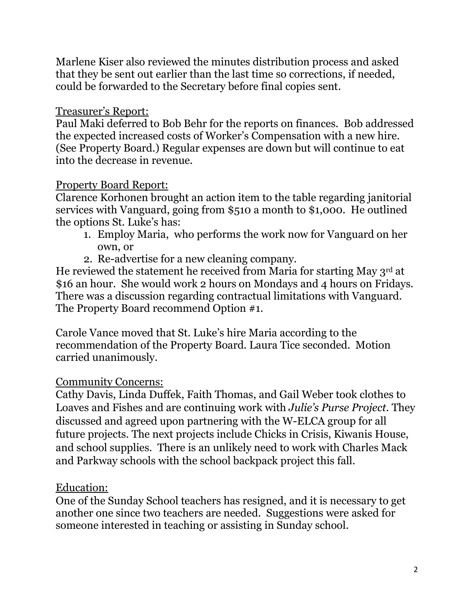Marlene Kiser also reviewed the minutes distribution process and asked that they be sent out earlier than the last time so corrections, if needed, could be forwarded to the Secretary before final copies sent.

#### Treasurer's Report:

Paul Maki deferred to Bob Behr for the reports on finances. Bob addressed the expected increased costs of Worker's Compensation with a new hire. (See Property Board.) Regular expenses are down but will continue to eat into the decrease in revenue.

#### Property Board Report:

Clarence Korhonen brought an action item to the table regarding janitorial services with Vanguard, going from \$510 a month to \$1,000. He outlined the options St. Luke's has:

- 1. Employ Maria, who performs the work now for Vanguard on her own, or
- 2. Re-advertise for a new cleaning company.

He reviewed the statement he received from Maria for starting May 3rd at \$16 an hour. She would work 2 hours on Mondays and 4 hours on Fridays. There was a discussion regarding contractual limitations with Vanguard. The Property Board recommend Option #1.

Carole Vance moved that St. Luke's hire Maria according to the recommendation of the Property Board. Laura Tice seconded. Motion carried unanimously.

### Community Concerns:

Cathy Davis, Linda Duffek, Faith Thomas, and Gail Weber took clothes to Loaves and Fishes and are continuing work with *Julie's Purse Project*. They discussed and agreed upon partnering with the W-ELCA group for all future projects. The next projects include Chicks in Crisis, Kiwanis House, and school supplies. There is an unlikely need to work with Charles Mack and Parkway schools with the school backpack project this fall.

### Education:

One of the Sunday School teachers has resigned, and it is necessary to get another one since two teachers are needed. Suggestions were asked for someone interested in teaching or assisting in Sunday school.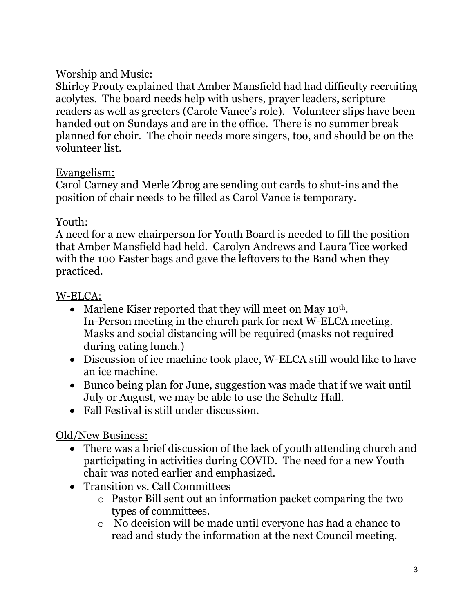# Worship and Music:

Shirley Prouty explained that Amber Mansfield had had difficulty recruiting acolytes. The board needs help with ushers, prayer leaders, scripture readers as well as greeters (Carole Vance's role). Volunteer slips have been handed out on Sundays and are in the office. There is no summer break planned for choir. The choir needs more singers, too, and should be on the volunteer list.

## Evangelism:

Carol Carney and Merle Zbrog are sending out cards to shut-ins and the position of chair needs to be filled as Carol Vance is temporary.

### Youth:

A need for a new chairperson for Youth Board is needed to fill the position that Amber Mansfield had held. Carolyn Andrews and Laura Tice worked with the 100 Easter bags and gave the leftovers to the Band when they practiced.

## W-ELCA:

- Marlene Kiser reported that they will meet on May 10<sup>th</sup>. In-Person meeting in the church park for next W-ELCA meeting. Masks and social distancing will be required (masks not required during eating lunch.)
- Discussion of ice machine took place, W-ELCA still would like to have an ice machine.
- Bunco being plan for June, suggestion was made that if we wait until July or August, we may be able to use the Schultz Hall.
- Fall Festival is still under discussion.

# Old/New Business:

- There was a brief discussion of the lack of youth attending church and participating in activities during COVID. The need for a new Youth chair was noted earlier and emphasized.
- Transition vs. Call Committees
	- o Pastor Bill sent out an information packet comparing the two types of committees.
	- o No decision will be made until everyone has had a chance to read and study the information at the next Council meeting.